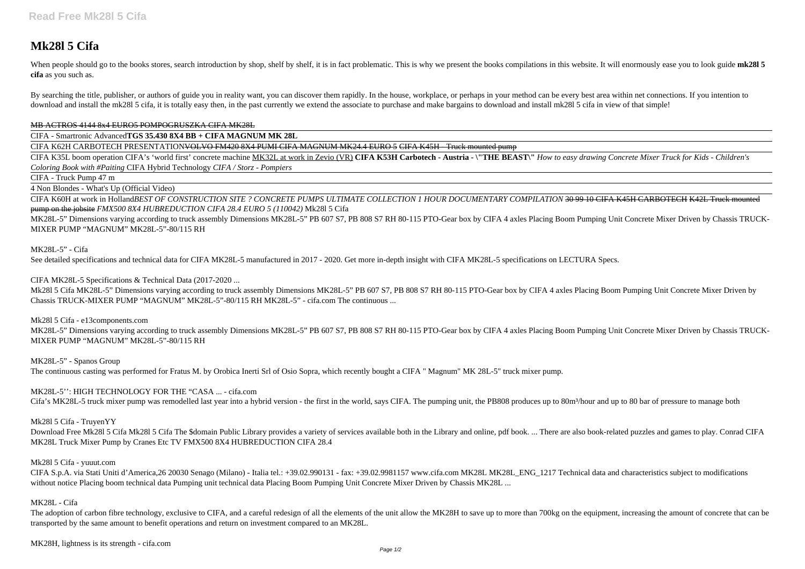# **Mk28l 5 Cifa**

When people should go to the books stores, search introduction by shop, shelf by shelf, it is in fact problematic. This is why we present the books compilations in this website. It will enormously ease you to look guide mk **cifa** as you such as.

By searching the title, publisher, or authors of guide you in reality want, you can discover them rapidly. In the house, workplace, or perhaps in your method can be every best area within net connections. If you intention download and install the mk28l 5 cifa, it is totally easy then, in the past currently we extend the associate to purchase and make bargains to download and install mk28l 5 cifa in view of that simple!

### MB ACTROS 4144 8x4 EURO5 POMPOGRUSZKA CIFA MK28L

CIFA K60H at work in Holland*BEST OF CONSTRUCTION SITE ? CONCRETE PUMPS ULTIMATE COLLECTION 1 HOUR DOCUMENTARY COMPILATION* 30 99 10 CIFA K45H CARBOTECH K42L Truck mounted pump on the jobsite *FMX500 8X4 HUBREDUCTION CIFA 28.4 EURO 5 (110042)* Mk28l 5 Cifa

CIFA - Smartronic Advanced**TGS 35.430 8X4 BB + CIFA MAGNUM MK 28L**

CIFA K62H CARBOTECH PRESENTATIONVOLVO FM420 8X4 PUMI CIFA MAGNUM MK24.4 EURO 5 CIFA K45H - Truck mounted pump

CIFA K35L boom operation CIFA's 'world first' concrete machine MK32L at work in Zevio (VR) **CIFA K53H Carbotech - Austria - \"THE BEAST\"** *How to easy drawing Concrete Mixer Truck for Kids - Children's Coloring Book with #Paiting* CIFA Hybrid Technology *CIFA / Storz - Pompiers*

CIFA - Truck Pump 47 m

4 Non Blondes - What's Up (Official Video)

MK28L-5" Dimensions varying according to truck assembly Dimensions MK28L-5" PB 607 S7, PB 808 S7 RH 80-115 PTO-Gear box by CIFA 4 axles Placing Boom Pumping Unit Concrete Mixer Driven by Chassis TRUCK-MIXER PUMP "MAGNUM" MK28L-5"-80/115 RH

Download Free Mk28l 5 Cifa Mk28l 5 Cifa The \$domain Public Library provides a variety of services available both in the Library and online, pdf book. ... There are also book-related puzzles and games to play. Conrad CIFA MK28L Truck Mixer Pump by Cranes Etc TV FMX500 8X4 HUBREDUCTION CIFA 28.4

CIFA S.p.A. via Stati Uniti d'America,26 20030 Senago (Milano) - Italia tel.: +39.02.990131 - fax: +39.02.9981157 www.cifa.com MK28L MK28L\_ENG\_1217 Technical data and characteristics subject to modifications without notice Placing boom technical data Pumping unit technical data Placing Boom Pumping Unit Concrete Mixer Driven by Chassis MK28L ...

MK28L-5" - Cifa

See detailed specifications and technical data for CIFA MK28L-5 manufactured in 2017 - 2020. Get more in-depth insight with CIFA MK28L-5 specifications on LECTURA Specs.

CIFA MK28L-5 Specifications & Technical Data (2017-2020 ...

The adoption of carbon fibre technology, exclusive to CIFA, and a careful redesign of all the elements of the unit allow the MK28H to save up to more than 700kg on the equipment, increasing the amount of concrete that can transported by the same amount to benefit operations and return on investment compared to an MK28L.

Mk28l 5 Cifa MK28L-5" Dimensions varying according to truck assembly Dimensions MK28L-5" PB 607 S7, PB 808 S7 RH 80-115 PTO-Gear box by CIFA 4 axles Placing Boom Pumping Unit Concrete Mixer Driven by Chassis TRUCK-MIXER PUMP "MAGNUM" MK28L-5"-80/115 RH MK28L-5" - cifa.com The continuous ...

Mk28l 5 Cifa - e13components.com

MK28L-5" Dimensions varying according to truck assembly Dimensions MK28L-5" PB 607 S7, PB 808 S7 RH 80-115 PTO-Gear box by CIFA 4 axles Placing Boom Pumping Unit Concrete Mixer Driven by Chassis TRUCK-MIXER PUMP "MAGNUM" MK28L-5"-80/115 RH

MK28L-5" - Spanos Group

The continuous casting was performed for Fratus M. by Orobica Inerti Srl of Osio Sopra, which recently bought a CIFA " Magnum" MK 28L-5" truck mixer pump.

MK28L-5'': HIGH TECHNOLOGY FOR THE "CASA ... - cifa.com

Cifa's MK28L-5 truck mixer pump was remodelled last year into a hybrid version - the first in the world, says CIFA. The pumping unit, the PB808 produces up to 80m<sup>3</sup>/hour and up to 80 bar of pressure to manage both

Mk28l 5 Cifa - TruyenYY

# Mk28l 5 Cifa - yuuut.com

# MK28L - Cifa